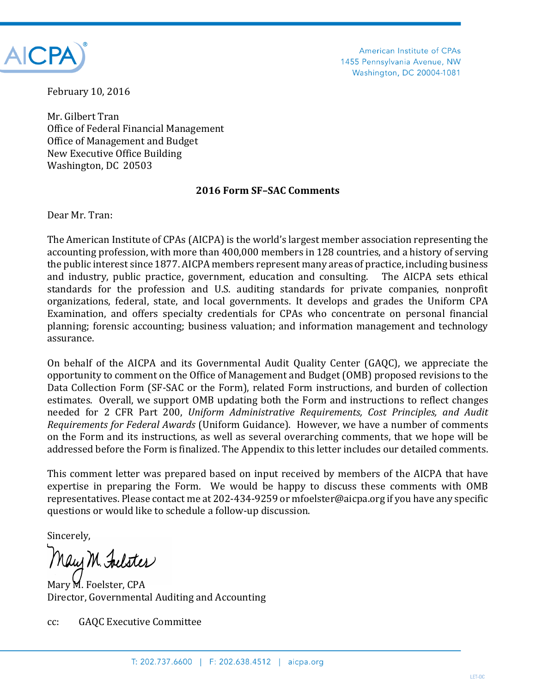

American Institute of CPAs 1455 Pennsylvania Avenue, NW Washington, DC 20004-1081

February 10, 2016

Mr. Gilbert Tran Office of Federal Financial Management Office of Management and Budget New Executive Office Building Washington, DC 20503

## **2016 Form SF–SAC Comments**

Dear Mr. Tran:

The American Institute of CPAs (AICPA) is the world's largest member association representing the accounting profession, with more than 400,000 members in 128 countries, and a history of serving the public interest since 1877. AICPA members represent many areas of practice, including business and industry, public practice, government, education and consulting. The AICPA sets ethical standards for the profession and U.S. auditing standards for private companies, nonprofit organizations, federal, state, and local governments. It develops and grades the Uniform CPA Examination, and offers specialty credentials for CPAs who concentrate on personal financial planning; forensic accounting; business valuation; and information management and technology assurance.

On behalf of the AICPA and its Governmental Audit Quality Center (GAQC), we appreciate the opportunity to comment on the Office of Management and Budget (OMB) proposed revisions to the Data Collection Form (SF-SAC or the Form), related Form instructions, and burden of collection estimates. Overall, we support OMB updating both the Form and instructions to reflect changes needed for 2 CFR Part 200, *Uniform Administrative Requirements, Cost Principles, and Audit Requirements for Federal Awards* (Uniform Guidance). However, we have a number of comments on the Form and its instructions, as well as several overarching comments, that we hope will be addressed before the Form is finalized. The Appendix to this letter includes our detailed comments.

This comment letter was prepared based on input received by members of the AICPA that have expertise in preparing the Form. We would be happy to discuss these comments with OMB representatives. Please contact me at 202-434-9259 or mfoelster@aicpa.org if you have any specific questions or would like to schedule a follow-up discussion.

Sincerely,

May M. Felster

Mary M. Foelster, CPA Director, Governmental Auditing and Accounting

cc: GAQC Executive Committee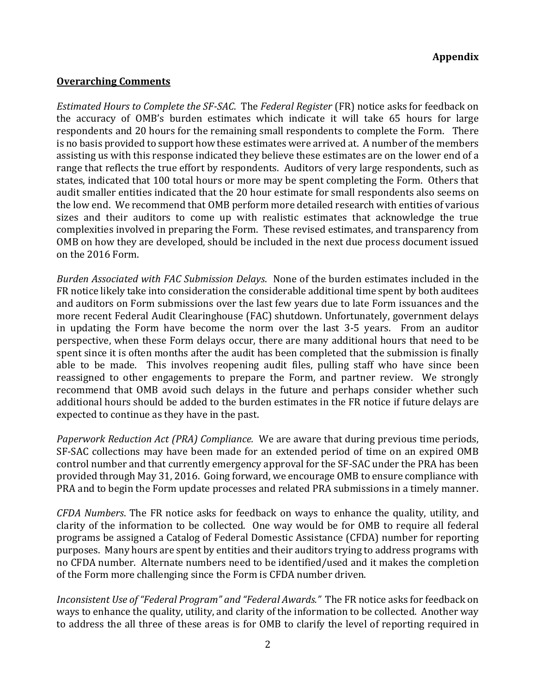## **Overarching Comments**

*Estimated Hours to Complete the SF-SAC*. The *Federal Register* (FR) notice asks for feedback on the accuracy of OMB's burden estimates which indicate it will take 65 hours for large respondents and 20 hours for the remaining small respondents to complete the Form. There is no basis provided to support how these estimates were arrived at. A number of the members assisting us with this response indicated they believe these estimates are on the lower end of a range that reflects the true effort by respondents. Auditors of very large respondents, such as states, indicated that 100 total hours or more may be spent completing the Form. Others that audit smaller entities indicated that the 20 hour estimate for small respondents also seems on the low end. We recommend that OMB perform more detailed research with entities of various sizes and their auditors to come up with realistic estimates that acknowledge the true complexities involved in preparing the Form. These revised estimates, and transparency from OMB on how they are developed, should be included in the next due process document issued on the 2016 Form.

*Burden Associated with FAC Submission Delays*. None of the burden estimates included in the FR notice likely take into consideration the considerable additional time spent by both auditees and auditors on Form submissions over the last few years due to late Form issuances and the more recent Federal Audit Clearinghouse (FAC) shutdown. Unfortunately, government delays in updating the Form have become the norm over the last 3-5 years. From an auditor perspective, when these Form delays occur, there are many additional hours that need to be spent since it is often months after the audit has been completed that the submission is finally able to be made. This involves reopening audit files, pulling staff who have since been reassigned to other engagements to prepare the Form, and partner review. We strongly recommend that OMB avoid such delays in the future and perhaps consider whether such additional hours should be added to the burden estimates in the FR notice if future delays are expected to continue as they have in the past.

*Paperwork Reduction Act (PRA) Compliance.* We are aware that during previous time periods, SF-SAC collections may have been made for an extended period of time on an expired OMB control number and that currently emergency approval for the SF-SAC under the PRA has been provided through May 31, 2016. Going forward, we encourage OMB to ensure compliance with PRA and to begin the Form update processes and related PRA submissions in a timely manner.

*CFDA Numbers*. The FR notice asks for feedback on ways to enhance the quality, utility, and clarity of the information to be collected. One way would be for OMB to require all federal programs be assigned a Catalog of Federal Domestic Assistance (CFDA) number for reporting purposes. Many hours are spent by entities and their auditors trying to address programs with no CFDA number. Alternate numbers need to be identified/used and it makes the completion of the Form more challenging since the Form is CFDA number driven.

*Inconsistent Use of "Federal Program" and "Federal Awards."* The FR notice asks for feedback on ways to enhance the quality, utility, and clarity of the information to be collected. Another way to address the all three of these areas is for OMB to clarify the level of reporting required in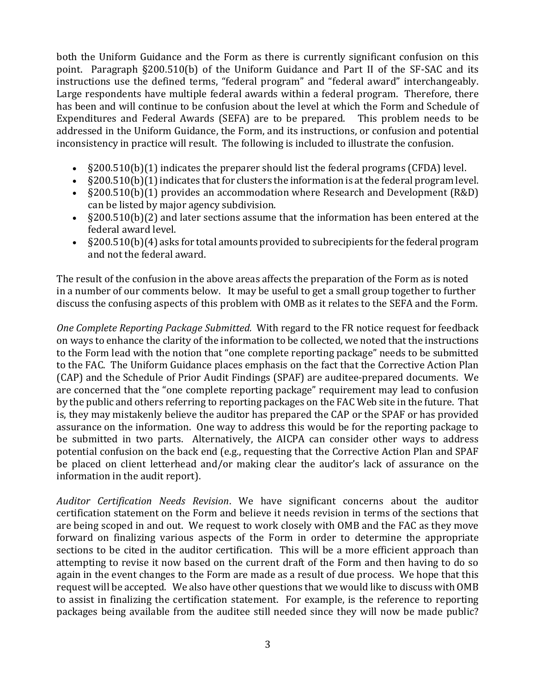both the Uniform Guidance and the Form as there is currently significant confusion on this point. Paragraph §200.510(b) of the Uniform Guidance and Part II of the SF-SAC and its instructions use the defined terms, "federal program" and "federal award" interchangeably. Large respondents have multiple federal awards within a federal program. Therefore, there has been and will continue to be confusion about the level at which the Form and Schedule of Expenditures and Federal Awards (SEFA) are to be prepared. This problem needs to be addressed in the Uniform Guidance, the Form, and its instructions, or confusion and potential inconsistency in practice will result. The following is included to illustrate the confusion.

- §200.510(b)(1) indicates the preparer should list the federal programs (CFDA) level.
- §200.510(b)(1) indicates that for clusters the information is at the federal program level.
- §200.510(b)(1) provides an accommodation where Research and Development (R&D) can be listed by major agency subdivision.
- §200.510(b)(2) and later sections assume that the information has been entered at the federal award level.
- §200.510(b)(4) asks for total amounts provided to subrecipients for the federal program and not the federal award.

The result of the confusion in the above areas affects the preparation of the Form as is noted in a number of our comments below. It may be useful to get a small group together to further discuss the confusing aspects of this problem with OMB as it relates to the SEFA and the Form.

*One Complete Reporting Package Submitted.* With regard to the FR notice request for feedback on ways to enhance the clarity of the information to be collected, we noted that the instructions to the Form lead with the notion that "one complete reporting package" needs to be submitted to the FAC. The Uniform Guidance places emphasis on the fact that the Corrective Action Plan (CAP) and the Schedule of Prior Audit Findings (SPAF) are auditee-prepared documents. We are concerned that the "one complete reporting package" requirement may lead to confusion by the public and others referring to reporting packages on the FAC Web site in the future. That is, they may mistakenly believe the auditor has prepared the CAP or the SPAF or has provided assurance on the information. One way to address this would be for the reporting package to be submitted in two parts. Alternatively, the AICPA can consider other ways to address potential confusion on the back end (e.g., requesting that the Corrective Action Plan and SPAF be placed on client letterhead and/or making clear the auditor's lack of assurance on the information in the audit report).

*Auditor Certification Needs Revision*. We have significant concerns about the auditor certification statement on the Form and believe it needs revision in terms of the sections that are being scoped in and out. We request to work closely with OMB and the FAC as they move forward on finalizing various aspects of the Form in order to determine the appropriate sections to be cited in the auditor certification. This will be a more efficient approach than attempting to revise it now based on the current draft of the Form and then having to do so again in the event changes to the Form are made as a result of due process. We hope that this request will be accepted. We also have other questions that we would like to discuss with OMB to assist in finalizing the certification statement. For example, is the reference to reporting packages being available from the auditee still needed since they will now be made public?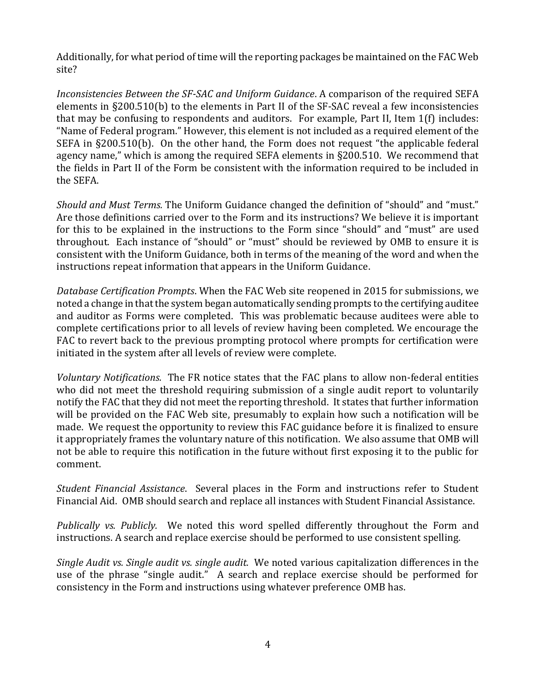Additionally, for what period of time will the reporting packages be maintained on the FAC Web site?

*Inconsistencies Between the SF-SAC and Uniform Guidance*. A comparison of the required SEFA elements in §200.510(b) to the elements in Part II of the SF-SAC reveal a few inconsistencies that may be confusing to respondents and auditors. For example, Part II, Item 1(f) includes: "Name of Federal program." However, this element is not included as a required element of the SEFA in §200.510(b). On the other hand, the Form does not request "the applicable federal agency name," which is among the required SEFA elements in §200.510. We recommend that the fields in Part II of the Form be consistent with the information required to be included in the SEFA.

*Should and Must Terms.* The Uniform Guidance changed the definition of "should" and "must." Are those definitions carried over to the Form and its instructions? We believe it is important for this to be explained in the instructions to the Form since "should" and "must" are used throughout. Each instance of "should" or "must" should be reviewed by OMB to ensure it is consistent with the Uniform Guidance, both in terms of the meaning of the word and when the instructions repeat information that appears in the Uniform Guidance.

*Database Certification Prompts*. When the FAC Web site reopened in 2015 for submissions, we noted a change in that the system began automatically sending prompts to the certifying auditee and auditor as Forms were completed. This was problematic because auditees were able to complete certifications prior to all levels of review having been completed. We encourage the FAC to revert back to the previous prompting protocol where prompts for certification were initiated in the system after all levels of review were complete.

*Voluntary Notifications.* The FR notice states that the FAC plans to allow non-federal entities who did not meet the threshold requiring submission of a single audit report to voluntarily notify the FAC that they did not meet the reporting threshold. It states that further information will be provided on the FAC Web site, presumably to explain how such a notification will be made. We request the opportunity to review this FAC guidance before it is finalized to ensure it appropriately frames the voluntary nature of this notification. We also assume that OMB will not be able to require this notification in the future without first exposing it to the public for comment.

*Student Financial Assistance*. Several places in the Form and instructions refer to Student Financial Aid. OMB should search and replace all instances with Student Financial Assistance.

*Publically vs. Publicly.* We noted this word spelled differently throughout the Form and instructions. A search and replace exercise should be performed to use consistent spelling.

*Single Audit vs. Single audit vs. single audit.* We noted various capitalization differences in the use of the phrase "single audit." A search and replace exercise should be performed for consistency in the Form and instructions using whatever preference OMB has.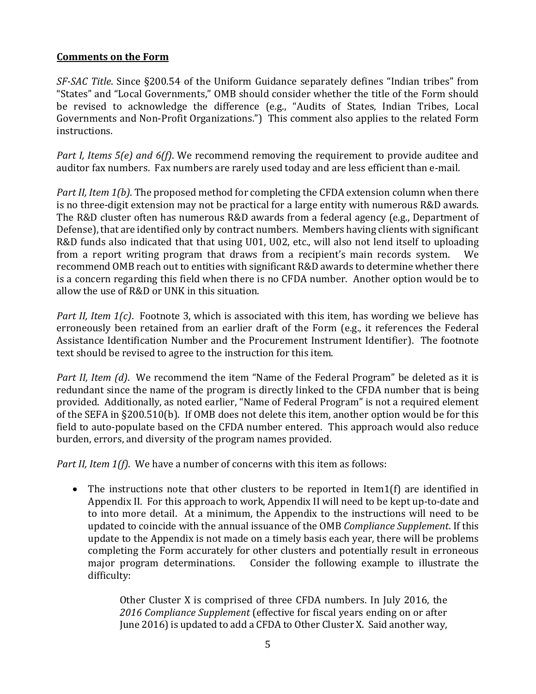## **Comments on the Form**

*SF-SAC Title*. Since §200.54 of the Uniform Guidance separately defines "Indian tribes" from "States" and "Local Governments," OMB should consider whether the title of the Form should be revised to acknowledge the difference (e.g., "Audits of States, Indian Tribes, Local Governments and Non-Profit Organizations.") This comment also applies to the related Form instructions.

*Part I, Items 5(e) and 6(f)*. We recommend removing the requirement to provide auditee and auditor fax numbers. Fax numbers are rarely used today and are less efficient than e-mail.

*Part II, Item 1(b)*. The proposed method for completing the CFDA extension column when there is no three-digit extension may not be practical for a large entity with numerous R&D awards. The R&D cluster often has numerous R&D awards from a federal agency (e.g., Department of Defense), that are identified only by contract numbers. Members having clients with significant R&D funds also indicated that that using U01, U02, etc., will also not lend itself to uploading from a report writing program that draws from a recipient's main records system. We recommend OMB reach out to entities with significant R&D awards to determine whether there is a concern regarding this field when there is no CFDA number. Another option would be to allow the use of R&D or UNK in this situation.

*Part II, Item 1(c)*. Footnote 3, which is associated with this item, has wording we believe has erroneously been retained from an earlier draft of the Form (e.g., it references the Federal Assistance Identification Number and the Procurement Instrument Identifier). The footnote text should be revised to agree to the instruction for this item.

*Part II, Item (d)*. We recommend the item "Name of the Federal Program" be deleted as it is redundant since the name of the program is directly linked to the CFDA number that is being provided. Additionally, as noted earlier, "Name of Federal Program" is not a required element of the SEFA in §200.510(b). If OMB does not delete this item, another option would be for this field to auto-populate based on the CFDA number entered. This approach would also reduce burden, errors, and diversity of the program names provided.

*Part II, Item 1(f)*. We have a number of concerns with this item as follows:

 The instructions note that other clusters to be reported in Item1(f) are identified in Appendix II. For this approach to work, Appendix II will need to be kept up-to-date and to into more detail. At a minimum, the Appendix to the instructions will need to be updated to coincide with the annual issuance of the OMB *Compliance Supplement*. If this update to the Appendix is not made on a timely basis each year, there will be problems completing the Form accurately for other clusters and potentially result in erroneous major program determinations. Consider the following example to illustrate the difficulty:

> Other Cluster X is comprised of three CFDA numbers. In July 2016, the *2016 Compliance Supplement* (effective for fiscal years ending on or after June 2016) is updated to add a CFDA to Other Cluster X. Said another way,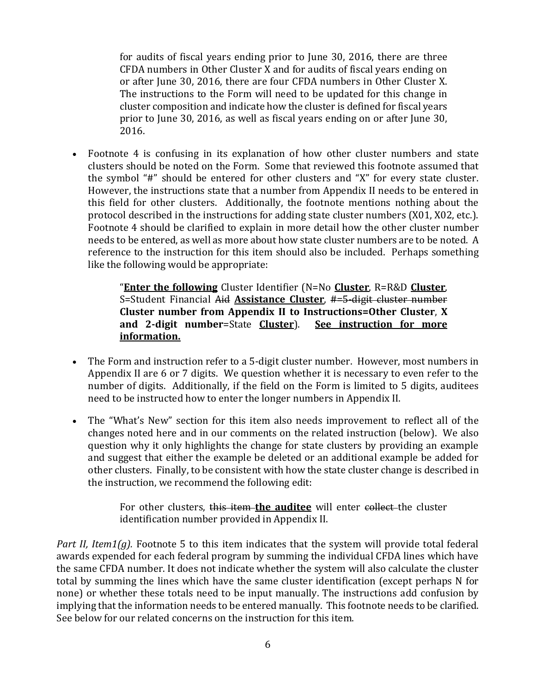for audits of fiscal years ending prior to June 30, 2016, there are three CFDA numbers in Other Cluster X and for audits of fiscal years ending on or after June 30, 2016, there are four CFDA numbers in Other Cluster X. The instructions to the Form will need to be updated for this change in cluster composition and indicate how the cluster is defined for fiscal years prior to June 30, 2016, as well as fiscal years ending on or after June 30, 2016.

• Footnote 4 is confusing in its explanation of how other cluster numbers and state clusters should be noted on the Form. Some that reviewed this footnote assumed that the symbol "#" should be entered for other clusters and "X" for every state cluster. However, the instructions state that a number from Appendix II needs to be entered in this field for other clusters. Additionally, the footnote mentions nothing about the protocol described in the instructions for adding state cluster numbers (X01, X02, etc.). Footnote 4 should be clarified to explain in more detail how the other cluster number needs to be entered, as well as more about how state cluster numbers are to be noted. A reference to the instruction for this item should also be included. Perhaps something like the following would be appropriate:

> "**Enter the following** Cluster Identifier (N=No **Cluster**, R=R&D **Cluster**, S=Student Financial Aid **Assistance Cluster**, #=5-digit cluster number **Cluster number from Appendix II to Instructions=Other Cluster**, **X and 2-digit number**=State **Cluster**). **See instruction for more information.**

- The Form and instruction refer to a 5-digit cluster number. However, most numbers in Appendix II are 6 or 7 digits. We question whether it is necessary to even refer to the number of digits. Additionally, if the field on the Form is limited to 5 digits, auditees need to be instructed how to enter the longer numbers in Appendix II.
- The "What's New" section for this item also needs improvement to reflect all of the changes noted here and in our comments on the related instruction (below). We also question why it only highlights the change for state clusters by providing an example and suggest that either the example be deleted or an additional example be added for other clusters. Finally, to be consistent with how the state cluster change is described in the instruction, we recommend the following edit:

For other clusters, this item **the auditee** will enter collect the cluster identification number provided in Appendix II.

*Part II, Item1(g).* Footnote 5 to this item indicates that the system will provide total federal awards expended for each federal program by summing the individual CFDA lines which have the same CFDA number. It does not indicate whether the system will also calculate the cluster total by summing the lines which have the same cluster identification (except perhaps N for none) or whether these totals need to be input manually. The instructions add confusion by implying that the information needs to be entered manually. This footnote needs to be clarified. See below for our related concerns on the instruction for this item.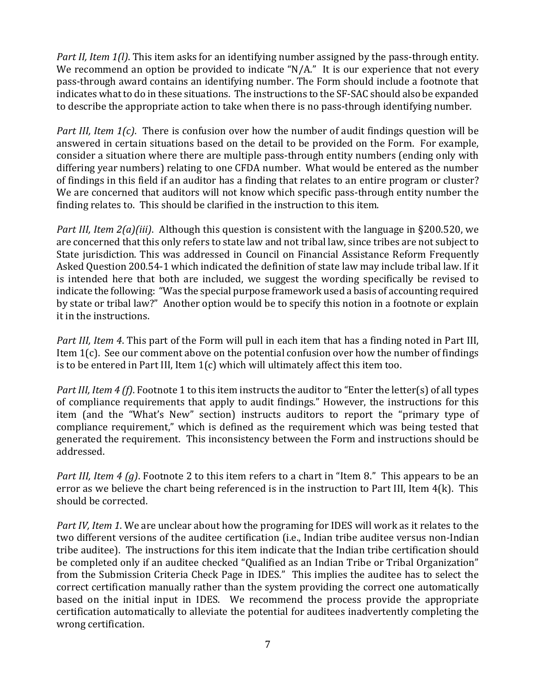*Part II, Item 1(l)*. This item asks for an identifying number assigned by the pass-through entity. We recommend an option be provided to indicate "N/A." It is our experience that not every pass-through award contains an identifying number. The Form should include a footnote that indicates what to do in these situations. The instructions to the SF-SAC should also be expanded to describe the appropriate action to take when there is no pass-through identifying number.

*Part III, Item 1(c)*. There is confusion over how the number of audit findings question will be answered in certain situations based on the detail to be provided on the Form. For example, consider a situation where there are multiple pass-through entity numbers (ending only with differing year numbers) relating to one CFDA number. What would be entered as the number of findings in this field if an auditor has a finding that relates to an entire program or cluster? We are concerned that auditors will not know which specific pass-through entity number the finding relates to. This should be clarified in the instruction to this item.

*Part III, Item 2(a)(iii)*. Although this question is consistent with the language in §200.520, we are concerned that this only refers to state law and not tribal law, since tribes are not subject to State jurisdiction. This was addressed in Council on Financial Assistance Reform Frequently Asked Question 200.54-1 which indicated the definition of state law may include tribal law. If it is intended here that both are included, we suggest the wording specifically be revised to indicate the following: "Was the special purpose framework used a basis of accounting required by state or tribal law?" Another option would be to specify this notion in a footnote or explain it in the instructions.

*Part III, Item 4*. This part of the Form will pull in each item that has a finding noted in Part III, Item 1(c). See our comment above on the potential confusion over how the number of findings is to be entered in Part III, Item 1(c) which will ultimately affect this item too.

*Part III, Item 4 (f)*. Footnote 1 to this item instructs the auditor to "Enter the letter(s) of all types of compliance requirements that apply to audit findings." However, the instructions for this item (and the "What's New" section) instructs auditors to report the "primary type of compliance requirement," which is defined as the requirement which was being tested that generated the requirement. This inconsistency between the Form and instructions should be addressed.

*Part III, Item 4 (g)*. Footnote 2 to this item refers to a chart in "Item 8." This appears to be an error as we believe the chart being referenced is in the instruction to Part III, Item 4(k). This should be corrected.

*Part IV, Item 1*. We are unclear about how the programing for IDES will work as it relates to the two different versions of the auditee certification (i.e., Indian tribe auditee versus non-Indian tribe auditee). The instructions for this item indicate that the Indian tribe certification should be completed only if an auditee checked "Qualified as an Indian Tribe or Tribal Organization" from the Submission Criteria Check Page in IDES." This implies the auditee has to select the correct certification manually rather than the system providing the correct one automatically based on the initial input in IDES. We recommend the process provide the appropriate certification automatically to alleviate the potential for auditees inadvertently completing the wrong certification.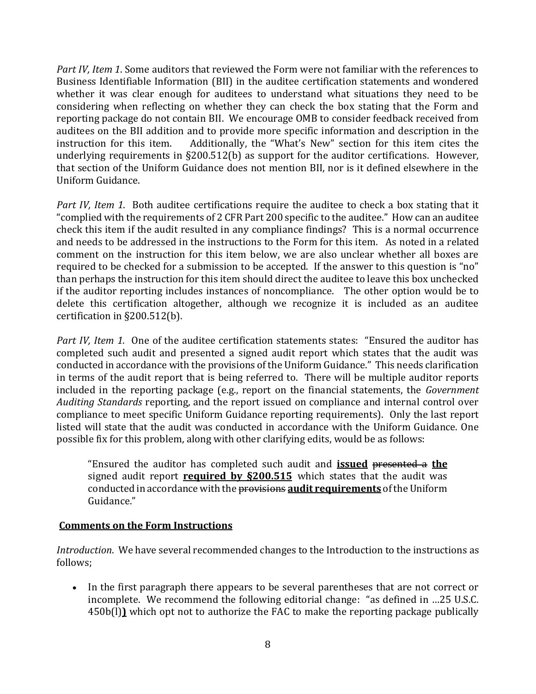*Part IV, Item 1*. Some auditors that reviewed the Form were not familiar with the references to Business Identifiable Information (BII) in the auditee certification statements and wondered whether it was clear enough for auditees to understand what situations they need to be considering when reflecting on whether they can check the box stating that the Form and reporting package do not contain BII. We encourage OMB to consider feedback received from auditees on the BII addition and to provide more specific information and description in the instruction for this item. Additionally, the "What's New" section for this item cites the underlying requirements in §200.512(b) as support for the auditor certifications. However, that section of the Uniform Guidance does not mention BII, nor is it defined elsewhere in the Uniform Guidance.

*Part IV, Item 1*. Both auditee certifications require the auditee to check a box stating that it "complied with the requirements of 2 CFR Part 200 specific to the auditee." How can an auditee check this item if the audit resulted in any compliance findings? This is a normal occurrence and needs to be addressed in the instructions to the Form for this item. As noted in a related comment on the instruction for this item below, we are also unclear whether all boxes are required to be checked for a submission to be accepted. If the answer to this question is "no" than perhaps the instruction for this item should direct the auditee to leave this box unchecked if the auditor reporting includes instances of noncompliance. The other option would be to delete this certification altogether, although we recognize it is included as an auditee certification in §200.512(b).

*Part IV, Item 1.* One of the auditee certification statements states: "Ensured the auditor has completed such audit and presented a signed audit report which states that the audit was conducted in accordance with the provisions of the Uniform Guidance." This needs clarification in terms of the audit report that is being referred to. There will be multiple auditor reports included in the reporting package (e.g., report on the financial statements, the *Government Auditing Standards* reporting, and the report issued on compliance and internal control over compliance to meet specific Uniform Guidance reporting requirements). Only the last report listed will state that the audit was conducted in accordance with the Uniform Guidance. One possible fix for this problem, along with other clarifying edits, would be as follows:

"Ensured the auditor has completed such audit and **issued** presented a **the** signed audit report **required by §200.515** which states that the audit was conducted in accordance with the provisions **audit requirements** of the Uniform Guidance."

## **Comments on the Form Instructions**

*Introduction*. We have several recommended changes to the Introduction to the instructions as follows;

 In the first paragraph there appears to be several parentheses that are not correct or incomplete. We recommend the following editorial change: "as defined in …25 U.S.C. 450b(l)**)** which opt not to authorize the FAC to make the reporting package publically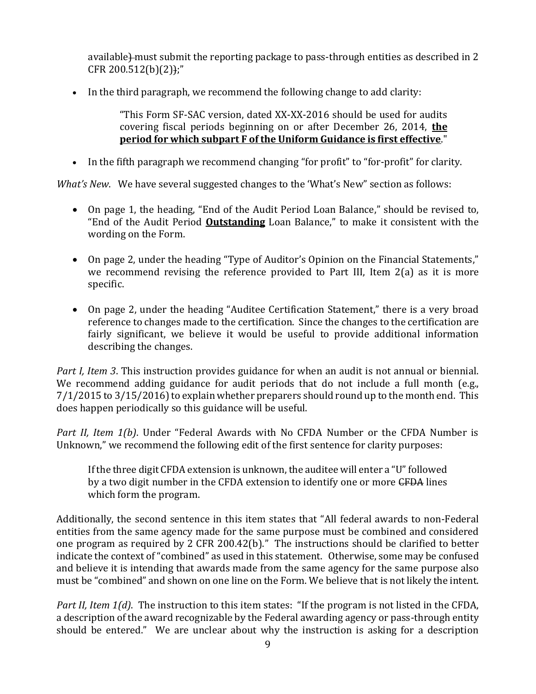available)-must submit the reporting package to pass-through entities as described in 2  $CFR 200.512(b)(2)$ ;"

In the third paragraph, we recommend the following change to add clarity:

"This Form SF-SAC version, dated XX-XX-2016 should be used for audits covering fiscal periods beginning on or after December 26, 2014, **the period for which subpart F of the Uniform Guidance is first effective**."

In the fifth paragraph we recommend changing "for profit" to "for-profit" for clarity.

*What's New*. We have several suggested changes to the 'What's New" section as follows:

- On page 1, the heading, "End of the Audit Period Loan Balance," should be revised to, "End of the Audit Period **Outstanding** Loan Balance," to make it consistent with the wording on the Form.
- On page 2, under the heading "Type of Auditor's Opinion on the Financial Statements," we recommend revising the reference provided to Part III, Item 2(a) as it is more specific.
- On page 2, under the heading "Auditee Certification Statement," there is a very broad reference to changes made to the certification. Since the changes to the certification are fairly significant, we believe it would be useful to provide additional information describing the changes.

*Part I, Item 3*. This instruction provides guidance for when an audit is not annual or biennial. We recommend adding guidance for audit periods that do not include a full month (e.g., 7/1/2015 to 3/15/2016) to explain whether preparers should round up to the month end. This does happen periodically so this guidance will be useful.

*Part II, Item 1(b)*. Under "Federal Awards with No CFDA Number or the CFDA Number is Unknown," we recommend the following edit of the first sentence for clarity purposes:

If the three digit CFDA extension is unknown, the auditee will enter a "U" followed by a two digit number in the CFDA extension to identify one or more CFDA lines which form the program.

Additionally, the second sentence in this item states that "All federal awards to non-Federal entities from the same agency made for the same purpose must be combined and considered one program as required by 2 CFR 200.42(b)." The instructions should be clarified to better indicate the context of "combined" as used in this statement. Otherwise, some may be confused and believe it is intending that awards made from the same agency for the same purpose also must be "combined" and shown on one line on the Form. We believe that is not likely the intent.

*Part II, Item 1(d)*. The instruction to this item states: "If the program is not listed in the CFDA, a description of the award recognizable by the Federal awarding agency or pass-through entity should be entered." We are unclear about why the instruction is asking for a description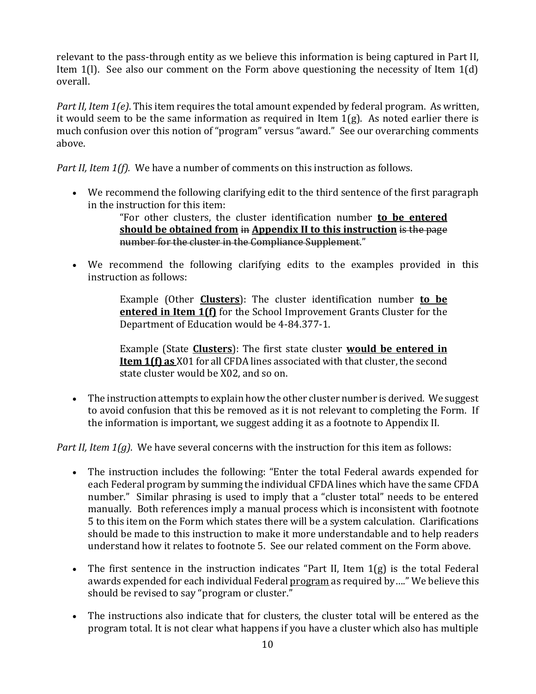relevant to the pass-through entity as we believe this information is being captured in Part II, Item 1(l). See also our comment on the Form above questioning the necessity of Item 1(d) overall.

*Part II, Item 1(e)*. This item requires the total amount expended by federal program. As written, it would seem to be the same information as required in Item  $1(g)$ . As noted earlier there is much confusion over this notion of "program" versus "award." See our overarching comments above.

*Part II, Item 1(f).* We have a number of comments on this instruction as follows.

 We recommend the following clarifying edit to the third sentence of the first paragraph in the instruction for this item:

> "For other clusters, the cluster identification number **to be entered should be obtained from** in **Appendix II to this instruction** is the page number for the cluster in the Compliance Supplement."

 We recommend the following clarifying edits to the examples provided in this instruction as follows:

> Example (Other **Clusters**): The cluster identification number **to be entered in Item 1(f)** for the School Improvement Grants Cluster for the Department of Education would be 4-84.377-1.

> Example (State **Clusters**): The first state cluster **would be entered in Item 1(f) as** X01 for all CFDA lines associated with that cluster, the second state cluster would be X02, and so on.

• The instruction attempts to explain how the other cluster number is derived. We suggest to avoid confusion that this be removed as it is not relevant to completing the Form. If the information is important, we suggest adding it as a footnote to Appendix II.

*Part II, Item 1(g)*. We have several concerns with the instruction for this item as follows:

- The instruction includes the following: "Enter the total Federal awards expended for each Federal program by summing the individual CFDA lines which have the same CFDA number." Similar phrasing is used to imply that a "cluster total" needs to be entered manually. Both references imply a manual process which is inconsistent with footnote 5 to this item on the Form which states there will be a system calculation. Clarifications should be made to this instruction to make it more understandable and to help readers understand how it relates to footnote 5. See our related comment on the Form above.
- The first sentence in the instruction indicates "Part II, Item 1(g) is the total Federal awards expended for each individual Federal program as required by…." We believe this should be revised to say "program or cluster."
- The instructions also indicate that for clusters, the cluster total will be entered as the program total. It is not clear what happens if you have a cluster which also has multiple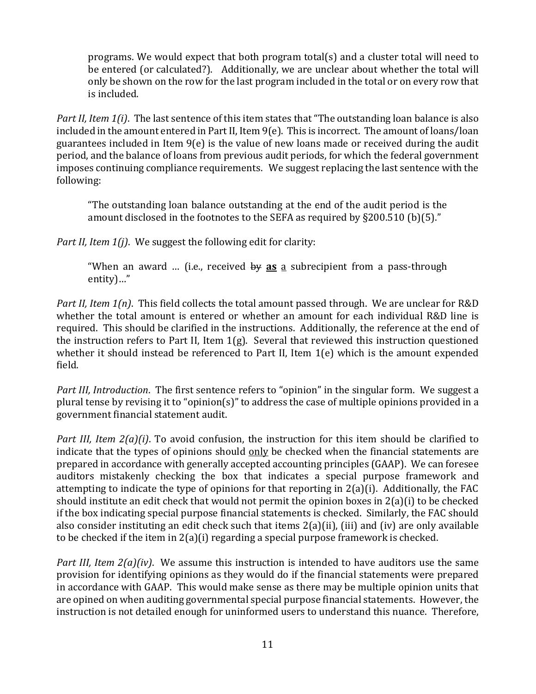programs. We would expect that both program total(s) and a cluster total will need to be entered (or calculated?). Additionally, we are unclear about whether the total will only be shown on the row for the last program included in the total or on every row that is included.

*Part II, Item 1(i)*. The last sentence of this item states that "The outstanding loan balance is also included in the amount entered in Part II, Item 9(e). This is incorrect. The amount of loans/loan guarantees included in Item 9(e) is the value of new loans made or received during the audit period, and the balance of loans from previous audit periods, for which the federal government imposes continuing compliance requirements. We suggest replacing the last sentence with the following:

"The outstanding loan balance outstanding at the end of the audit period is the amount disclosed in the footnotes to the SEFA as required by §200.510 (b)(5)."

*Part II, Item 1(j)*. We suggest the following edit for clarity:

"When an award … (i.e., received by **as** a subrecipient from a pass-through entity)…"

*Part II, Item 1(n)*. This field collects the total amount passed through. We are unclear for R&D whether the total amount is entered or whether an amount for each individual R&D line is required. This should be clarified in the instructions. Additionally, the reference at the end of the instruction refers to Part II, Item  $1(g)$ . Several that reviewed this instruction questioned whether it should instead be referenced to Part II, Item 1(e) which is the amount expended field.

*Part III, Introduction*. The first sentence refers to "opinion" in the singular form. We suggest a plural tense by revising it to "opinion(s)" to address the case of multiple opinions provided in a government financial statement audit.

*Part III, Item 2(a)(i)*. To avoid confusion, the instruction for this item should be clarified to indicate that the types of opinions should only be checked when the financial statements are prepared in accordance with generally accepted accounting principles (GAAP). We can foresee auditors mistakenly checking the box that indicates a special purpose framework and attempting to indicate the type of opinions for that reporting in 2(a)(i). Additionally, the FAC should institute an edit check that would not permit the opinion boxes in 2(a)(i) to be checked if the box indicating special purpose financial statements is checked. Similarly, the FAC should also consider instituting an edit check such that items 2(a)(ii), (iii) and (iv) are only available to be checked if the item in 2(a)(i) regarding a special purpose framework is checked.

*Part III, Item 2(a)(iv)*. We assume this instruction is intended to have auditors use the same provision for identifying opinions as they would do if the financial statements were prepared in accordance with GAAP. This would make sense as there may be multiple opinion units that are opined on when auditing governmental special purpose financial statements. However, the instruction is not detailed enough for uninformed users to understand this nuance. Therefore,